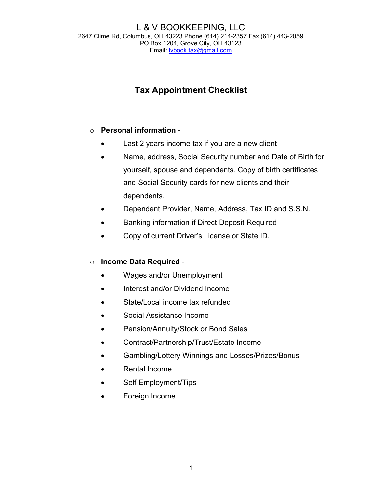#### L & V BOOKKEEPING, LLC 2647 Clime Rd, Columbus, OH 43223 Phone (614) 214-2357 Fax (614) 443-2059 PO Box 1204, Grove City, OH 43123 Email: lvbook.tax@gmail.com

# Tax Appointment Checklist

### o Personal information -

- Last 2 years income tax if you are a new client
- Name, address, Social Security number and Date of Birth for yourself, spouse and dependents. Copy of birth certificates and Social Security cards for new clients and their dependents.
- Dependent Provider, Name, Address, Tax ID and S.S.N.
- Banking information if Direct Deposit Required
- Copy of current Driver's License or State ID.

#### o Income Data Required -

- Wages and/or Unemployment
- Interest and/or Dividend Income
- State/Local income tax refunded
- Social Assistance Income
- Pension/Annuity/Stock or Bond Sales
- Contract/Partnership/Trust/Estate Income
- Gambling/Lottery Winnings and Losses/Prizes/Bonus
- Rental Income
- Self Employment/Tips
- Foreign Income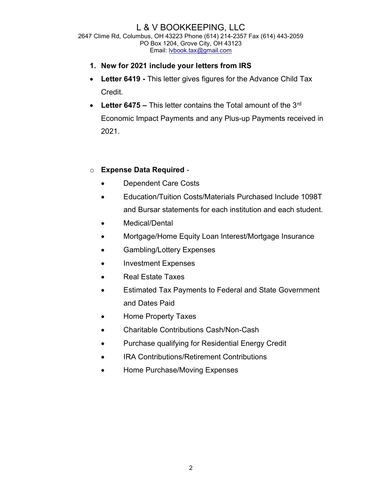## L & V BOOKKEEPING, LLC

2647 Clime Rd, Columbus, OH 43223 Phone (614) 214-2357 Fax (614) 443-2059 PO Box 1204, Grove City, OH 43123 Email: lvbook.tax@gmail.com

- 1. New for 2021 include your letters from IRS
- Letter 6419 This letter gives figures for the Advance Child Tax Credit.
- Letter 6475 This letter contains the Total amount of the  $3<sup>rd</sup>$ Economic Impact Payments and any Plus-up Payments received in 2021.

#### o Expense Data Required -

- Dependent Care Costs
- Education/Tuition Costs/Materials Purchased Include 1098T and Bursar statements for each institution and each student.
- Medical/Dental
- Mortgage/Home Equity Loan Interest/Mortgage Insurance
- Gambling/Lottery Expenses
- Investment Expenses
- Real Estate Taxes
- Estimated Tax Payments to Federal and State Government and Dates Paid
- Home Property Taxes
- Charitable Contributions Cash/Non-Cash
- Purchase qualifying for Residential Energy Credit
- IRA Contributions/Retirement Contributions
- Home Purchase/Moving Expenses